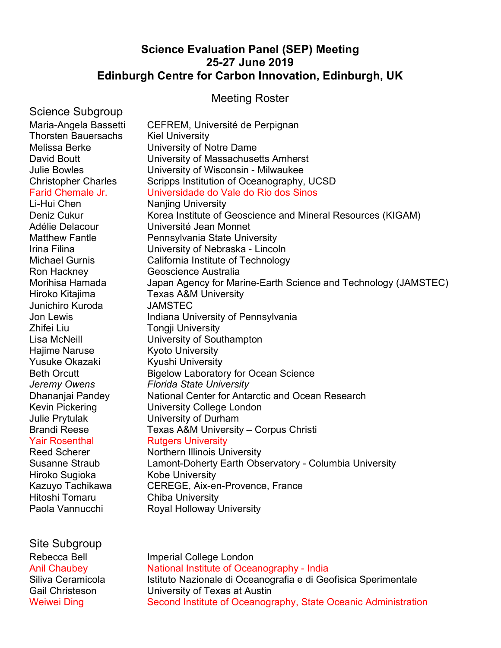# **Science Evaluation Panel (SEP) Meeting 25-27 June 2019 Edinburgh Centre for Carbon Innovation, Edinburgh, UK**

Meeting Roster

| Science Subgroup           |                                                                |
|----------------------------|----------------------------------------------------------------|
| Maria-Angela Bassetti      | CEFREM, Université de Perpignan                                |
| <b>Thorsten Bauersachs</b> | <b>Kiel University</b>                                         |
| Melissa Berke              | University of Notre Dame                                       |
| David Boutt                | University of Massachusetts Amherst                            |
| <b>Julie Bowles</b>        | University of Wisconsin - Milwaukee                            |
| <b>Christopher Charles</b> | Scripps Institution of Oceanography, UCSD                      |
| Farid Chemale Jr.          | Universidade do Vale do Rio dos Sinos                          |
| Li-Hui Chen                | <b>Nanjing University</b>                                      |
| Deniz Cukur                | Korea Institute of Geoscience and Mineral Resources (KIGAM)    |
| Adélie Delacour            | Université Jean Monnet                                         |
| <b>Matthew Fantle</b>      | Pennsylvania State University                                  |
| Irina Filina               | University of Nebraska - Lincoln                               |
| <b>Michael Gurnis</b>      | California Institute of Technology                             |
| Ron Hackney                | Geoscience Australia                                           |
| Morihisa Hamada            | Japan Agency for Marine-Earth Science and Technology (JAMSTEC) |
| Hiroko Kitajima            | <b>Texas A&amp;M University</b>                                |
| Junichiro Kuroda           | <b>JAMSTEC</b>                                                 |
| Jon Lewis                  | Indiana University of Pennsylvania                             |
| Zhifei Liu                 | <b>Tongji University</b>                                       |
| Lisa McNeill               | University of Southampton                                      |
| Hajime Naruse              | <b>Kyoto University</b>                                        |
| Yusuke Okazaki             | Kyushi University                                              |
| <b>Beth Orcutt</b>         | <b>Bigelow Laboratory for Ocean Science</b>                    |
| Jeremy Owens               | <b>Florida State University</b>                                |
| Dhananjai Pandey           | National Center for Antarctic and Ocean Research               |
| <b>Kevin Pickering</b>     | <b>University College London</b>                               |
| Julie Prytulak             | University of Durham                                           |
| <b>Brandi Reese</b>        | Texas A&M University - Corpus Christi                          |
| <b>Yair Rosenthal</b>      | <b>Rutgers University</b>                                      |
| <b>Reed Scherer</b>        | Northern Illinois University                                   |
| <b>Susanne Straub</b>      | Lamont-Doherty Earth Observatory - Columbia University         |
| Hiroko Sugioka             | <b>Kobe University</b>                                         |
| Kazuyo Tachikawa           | CEREGE, Aix-en-Provence, France                                |
| Hitoshi Tomaru             | <b>Chiba University</b>                                        |
| Paola Vannucchi            | <b>Royal Holloway University</b>                               |
|                            |                                                                |
|                            |                                                                |

| Site Subgroup          |                                                                |
|------------------------|----------------------------------------------------------------|
| Rebecca Bell           | Imperial College London                                        |
| <b>Anil Chaubey</b>    | National Institute of Oceanography - India                     |
| Siliva Ceramicola      | Istituto Nazionale di Oceanografia e di Geofisica Sperimentale |
| <b>Gail Christeson</b> | University of Texas at Austin                                  |
| Weiwei Ding            | Second Institute of Oceanography, State Oceanic Administration |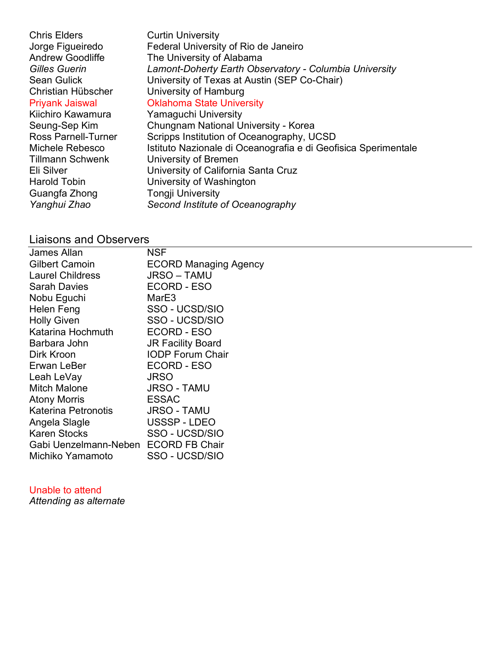Chris Elders Curtin University Jorge Figueiredo Federal University of Rio de Janeiro Andrew Goodliffe The University of Alabama *Gilles Guerin Lamont-Doherty Earth Observatory - Columbia University* Sean Gulick University of Texas at Austin (SEP Co-Chair) Christian Hübscher University of Hamburg Priyank Jaiswal Oklahoma State University Kiichiro Kawamura Yamaguchi University Seung-Sep Kim Chungnam National University - Korea Ross Parnell-Turner Scripps Institution of Oceanography, UCSD Michele Rebesco Istituto Nazionale di Oceanografia e di Geofisica Sperimentale Tillmann Schwenk University of Bremen Eli Silver University of California Santa Cruz Harold Tobin **University of Washington** Guangfa Zhong Tongji University *Yanghui Zhao Second Institute of Oceanography*

# Liaisons and Observers

| James Allan                          | <b>NSF</b>                   |
|--------------------------------------|------------------------------|
| <b>Gilbert Camoin</b>                | <b>ECORD Managing Agency</b> |
| <b>Laurel Childress</b>              | <b>JRSO – TAMU</b>           |
| <b>Sarah Davies</b>                  | ECORD - ESO                  |
| Nobu Eguchi                          | MarE3                        |
| Helen Feng                           | SSO - UCSD/SIO               |
| <b>Holly Given</b>                   | SSO - UCSD/SIO               |
| Katarina Hochmuth                    | <b>ECORD - ESO</b>           |
| Barbara John                         | <b>JR Facility Board</b>     |
| Dirk Kroon                           | <b>IODP Forum Chair</b>      |
| Erwan LeBer                          | ECORD - ESO                  |
| Leah LeVay                           | <b>JRSO</b>                  |
| <b>Mitch Malone</b>                  | <b>JRSO - TAMU</b>           |
| <b>Atony Morris</b>                  | <b>ESSAC</b>                 |
| Katerina Petronotis                  | <b>JRSO - TAMU</b>           |
| Angela Slagle                        | USSSP-LDEO                   |
| <b>Karen Stocks</b>                  | SSO - UCSD/SIO               |
| Gabi Uenzelmann-Neben ECORD FB Chair |                              |
| Michiko Yamamoto                     | SSO - UCSD/SIO               |
|                                      |                              |

Unable to attend

*Attending as alternate*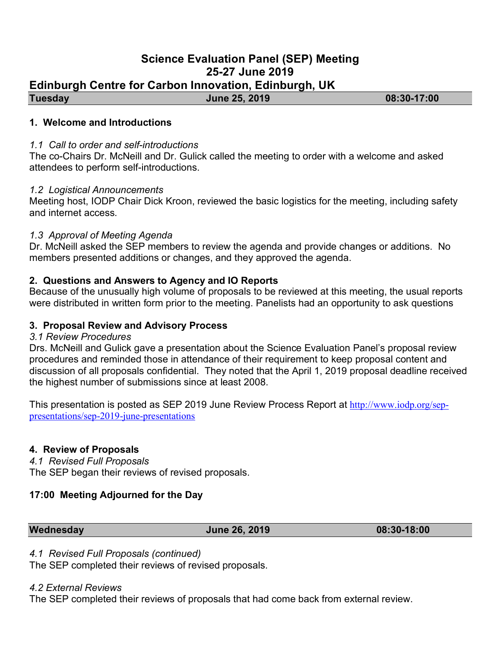## **Science Evaluation Panel (SEP) Meeting 25-27 June 2019**

# **Edinburgh Centre for Carbon Innovation, Edinburgh, UK**

**Tuesday June 25, 2019 08:30-17:00** 

### **1. Welcome and Introductions**

### *1.1 Call to order and self-introductions*

The co-Chairs Dr. McNeill and Dr. Gulick called the meeting to order with a welcome and asked attendees to perform self-introductions.

### *1.2 Logistical Announcements*

Meeting host, IODP Chair Dick Kroon, reviewed the basic logistics for the meeting, including safety and internet access.

### *1.3 Approval of Meeting Agenda*

Dr. McNeill asked the SEP members to review the agenda and provide changes or additions. No members presented additions or changes, and they approved the agenda.

## **2. Questions and Answers to Agency and IO Reports**

Because of the unusually high volume of proposals to be reviewed at this meeting, the usual reports were distributed in written form prior to the meeting. Panelists had an opportunity to ask questions

### **3. Proposal Review and Advisory Process**

### *3.1 Review Procedures*

Drs. McNeill and Gulick gave a presentation about the Science Evaluation Panel's proposal review procedures and reminded those in attendance of their requirement to keep proposal content and discussion of all proposals confidential. They noted that the April 1, 2019 proposal deadline received the highest number of submissions since at least 2008.

This presentation is posted as SEP 2019 June Review Process Report at http://www.iodp.org/seppresentations/sep-2019-june-presentations

### **4. Review of Proposals**

*4.1 Revised Full Proposals*

The SEP began their reviews of revised proposals.

### **17:00 Meeting Adjourned for the Day**

**Wednesday June 26, 2019 08:30-18:00** 

*4.1 Revised Full Proposals (continued)*

The SEP completed their reviews of revised proposals.

*4.2 External Reviews*

The SEP completed their reviews of proposals that had come back from external review.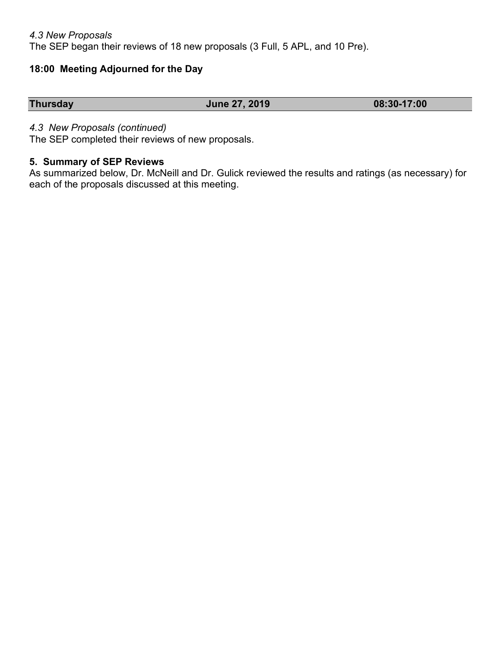## *4.3 New Proposals* The SEP began their reviews of 18 new proposals (3 Full, 5 APL, and 10 Pre).

# **18:00 Meeting Adjourned for the Day**

| <b>Thursday</b> | <b>June 27, 2019</b> | 08:30-17:00 |
|-----------------|----------------------|-------------|

## *4.3 New Proposals (continued)*

The SEP completed their reviews of new proposals.

### **5. Summary of SEP Reviews**

As summarized below, Dr. McNeill and Dr. Gulick reviewed the results and ratings (as necessary) for each of the proposals discussed at this meeting.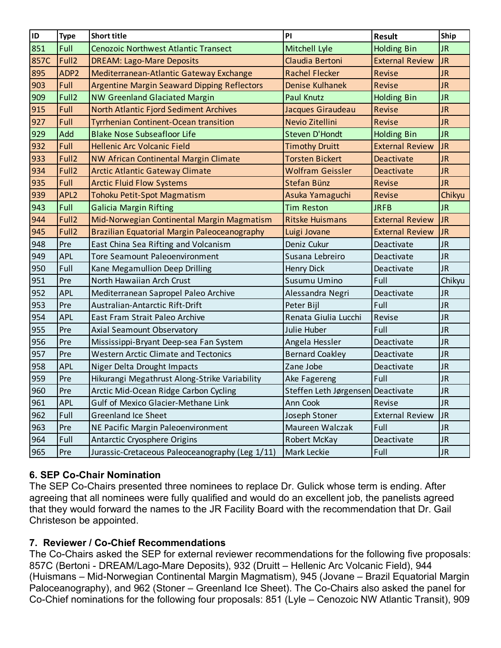| <b>ID</b>   | <b>Type</b>       | <b>Short title</b>                                 | PI                                | <b>Result</b>          | <b>Ship</b> |
|-------------|-------------------|----------------------------------------------------|-----------------------------------|------------------------|-------------|
| 851         | Full              | Cenozoic Northwest Atlantic Transect               | Mitchell Lyle                     | <b>Holding Bin</b>     | <b>JR</b>   |
| <b>857C</b> | Full <sub>2</sub> | <b>DREAM: Lago-Mare Deposits</b>                   | Claudia Bertoni                   | <b>External Review</b> | <b>JR</b>   |
| 895         | ADP <sub>2</sub>  | Mediterranean-Atlantic Gateway Exchange            | <b>Rachel Flecker</b>             | Revise                 | <b>JR</b>   |
| 903         | Full              | <b>Argentine Margin Seaward Dipping Reflectors</b> | <b>Denise Kulhanek</b>            | Revise                 | <b>JR</b>   |
| 909         | Full <sub>2</sub> | <b>NW Greenland Glaciated Margin</b>               | <b>Paul Knutz</b>                 | <b>Holding Bin</b>     | <b>JR</b>   |
| 915         | Full              | North Atlantic Fjord Sediment Archives             | Jacques Giraudeau                 | Revise                 | <b>JR</b>   |
| 927         | Full              | <b>Tyrrhenian Continent-Ocean transition</b>       | Nevio Zitellini                   | Revise                 | <b>JR</b>   |
| 929         | Add               | <b>Blake Nose Subseafloor Life</b>                 | Steven D'Hondt                    | <b>Holding Bin</b>     | <b>JR</b>   |
| 932         | Full              | <b>Hellenic Arc Volcanic Field</b>                 | <b>Timothy Druitt</b>             | <b>External Review</b> | <b>JR</b>   |
| 933         | Full <sub>2</sub> | NW African Continental Margin Climate              | <b>Torsten Bickert</b>            | Deactivate             | <b>JR</b>   |
| 934         | Full <sub>2</sub> | <b>Arctic Atlantic Gateway Climate</b>             | <b>Wolfram Geissler</b>           | Deactivate             | <b>JR</b>   |
| 935         | Full              | <b>Arctic Fluid Flow Systems</b>                   | Stefan Bünz                       | Revise                 | <b>JR</b>   |
| 939         | APL <sub>2</sub>  | Tohoku Petit-Spot Magmatism                        | Asuka Yamaguchi                   | Revise                 | Chikyu      |
| 943         | Full              | <b>Galicia Margin Rifting</b>                      | <b>Tim Reston</b>                 | <b>JRFB</b>            | <b>JR</b>   |
| 944         | Full <sub>2</sub> | Mid-Norwegian Continental Margin Magmatism         | <b>Ritske Huismans</b>            | <b>External Review</b> | <b>JR</b>   |
| 945         | Full <sub>2</sub> | Brazilian Equatorial Margin Paleoceanography       | Luigi Jovane                      | <b>External Review</b> | <b>JR</b>   |
| 948         | Pre               | East China Sea Rifting and Volcanism               | Deniz Cukur                       | Deactivate             | <b>JR</b>   |
| 949         | <b>APL</b>        | <b>Tore Seamount Paleoenvironment</b>              | Susana Lebreiro                   | Deactivate             | JR.         |
| 950         | Full              | Kane Megamullion Deep Drilling                     | <b>Henry Dick</b>                 | Deactivate             | <b>JR</b>   |
| 951         | Pre               | North Hawaiian Arch Crust                          | Susumu Umino                      | Full                   | Chikyu      |
| 952         | <b>APL</b>        | Mediterranean Sapropel Paleo Archive               | Alessandra Negri                  | Deactivate             | <b>JR</b>   |
| 953         | Pre               | Australian-Antarctic Rift-Drift                    | Peter Bijl                        | Full                   | <b>JR</b>   |
| 954         | <b>APL</b>        | East Fram Strait Paleo Archive                     | Renata Giulia Lucchi              | Revise                 | <b>JR</b>   |
| 955         | Pre               | Axial Seamount Observatory                         | Julie Huber                       | Full                   | <b>JR</b>   |
| 956         | Pre               | Mississippi-Bryant Deep-sea Fan System             | Angela Hessler                    | Deactivate             | <b>JR</b>   |
| 957         | Pre               | <b>Western Arctic Climate and Tectonics</b>        | <b>Bernard Coakley</b>            | Deactivate             | <b>JR</b>   |
| 958         | <b>APL</b>        | Niger Delta Drought Impacts                        | Zane Jobe                         | Deactivate             | <b>JR</b>   |
| 959         | Pre               | Hikurangi Megathrust Along-Strike Variability      | Ake Fagereng                      | Full                   | <b>JR</b>   |
| 960         | Pre               | Arctic Mid-Ocean Ridge Carbon Cycling              | Steffen Leth Jørgensen Deactivate |                        | <b>JR</b>   |
| 961         | <b>APL</b>        | <b>Gulf of Mexico Glacier-Methane Link</b>         | Ann Cook                          | Revise                 | <b>JR</b>   |
| 962         | Full              | <b>Greenland Ice Sheet</b>                         | Joseph Stoner                     | <b>External Review</b> | <b>JR</b>   |
| 963         | Pre               | NE Pacific Margin Paleoenvironment                 | Maureen Walczak                   | Full                   | <b>JR</b>   |
| 964         | Full              | Antarctic Cryosphere Origins                       | Robert McKay                      | Deactivate             | <b>JR</b>   |
| 965         | Pre               | Jurassic-Cretaceous Paleoceanography (Leg 1/11)    | Mark Leckie                       | Full                   | <b>JR</b>   |

# **6. SEP Co-Chair Nomination**

The SEP Co-Chairs presented three nominees to replace Dr. Gulick whose term is ending. After agreeing that all nominees were fully qualified and would do an excellent job, the panelists agreed that they would forward the names to the JR Facility Board with the recommendation that Dr. Gail Christeson be appointed.

## **7. Reviewer / Co-Chief Recommendations**

The Co-Chairs asked the SEP for external reviewer recommendations for the following five proposals: 857C (Bertoni - DREAM/Lago-Mare Deposits), 932 (Druitt – Hellenic Arc Volcanic Field), 944 (Huismans – Mid-Norwegian Continental Margin Magmatism), 945 (Jovane – Brazil Equatorial Margin Paloceanography), and 962 (Stoner – Greenland Ice Sheet). The Co-Chairs also asked the panel for Co-Chief nominations for the following four proposals: 851 (Lyle – Cenozoic NW Atlantic Transit), 909